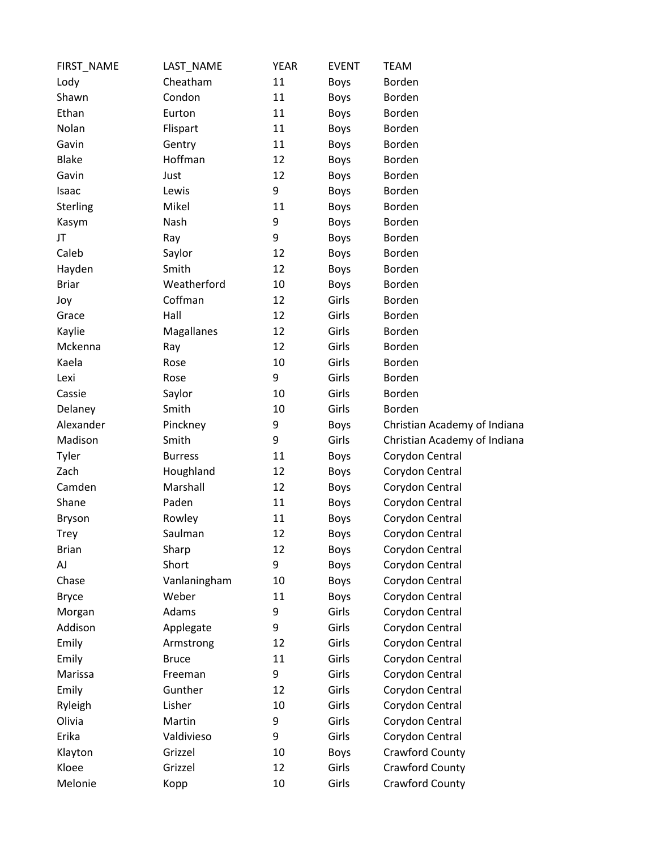| FIRST_NAME   | LAST_NAME      | <b>YEAR</b> | <b>EVENT</b> | <b>TEAM</b>                  |
|--------------|----------------|-------------|--------------|------------------------------|
| Lody         | Cheatham       | 11          | Boys         | Borden                       |
| Shawn        | Condon         | 11          | Boys         | Borden                       |
| Ethan        | Eurton         | 11          | Boys         | Borden                       |
| Nolan        | Flispart       | 11          | Boys         | Borden                       |
| Gavin        | Gentry         | 11          | Boys         | Borden                       |
| <b>Blake</b> | Hoffman        | 12          | Boys         | Borden                       |
| Gavin        | Just           | 12          | Boys         | Borden                       |
| Isaac        | Lewis          | 9           | <b>Boys</b>  | Borden                       |
| Sterling     | Mikel          | 11          | Boys         | Borden                       |
| Kasym        | Nash           | 9           | Boys         | Borden                       |
| JT           | Ray            | 9           | Boys         | Borden                       |
| Caleb        | Saylor         | 12          | Boys         | Borden                       |
| Hayden       | Smith          | 12          | Boys         | Borden                       |
| <b>Briar</b> | Weatherford    | 10          | Boys         | Borden                       |
| Joy          | Coffman        | 12          | Girls        | Borden                       |
| Grace        | Hall           | 12          | Girls        | Borden                       |
| Kaylie       | Magallanes     | 12          | Girls        | Borden                       |
| Mckenna      | Ray            | 12          | Girls        | Borden                       |
| Kaela        | Rose           | 10          | Girls        | <b>Borden</b>                |
| Lexi         | Rose           | 9           | Girls        | Borden                       |
| Cassie       | Saylor         | 10          | Girls        | Borden                       |
| Delaney      | Smith          | 10          | Girls        | Borden                       |
| Alexander    | Pinckney       | 9           | Boys         | Christian Academy of Indiana |
| Madison      | Smith          | 9           | Girls        | Christian Academy of Indiana |
| Tyler        | <b>Burress</b> | 11          | Boys         | Corydon Central              |
| Zach         | Houghland      | 12          | Boys         | Corydon Central              |
| Camden       | Marshall       | 12          | Boys         | Corydon Central              |
| Shane        | Paden          | 11          | Boys         | Corydon Central              |
| Bryson       | Rowley         | 11          | Boys         | Corydon Central              |
| <b>Trey</b>  | Saulman        | 12          | <b>Boys</b>  | Corydon Central              |
| <b>Brian</b> | Sharp          | 12          | Boys         | Corydon Central              |
| AJ           | Short          | 9           | <b>Boys</b>  | Corydon Central              |
| Chase        | Vanlaningham   | 10          | <b>Boys</b>  | Corydon Central              |
| <b>Bryce</b> | Weber          | 11          | Boys         | Corydon Central              |
| Morgan       | Adams          | 9           | Girls        | Corydon Central              |
| Addison      | Applegate      | 9           | Girls        | Corydon Central              |
| Emily        | Armstrong      | 12          | Girls        | Corydon Central              |
| Emily        | <b>Bruce</b>   | 11          | Girls        | Corydon Central              |
| Marissa      | Freeman        | 9           | Girls        | Corydon Central              |
| Emily        | Gunther        | 12          | Girls        | Corydon Central              |
| Ryleigh      | Lisher         | 10          | Girls        | Corydon Central              |
| Olivia       | Martin         | 9           | Girls        | Corydon Central              |
| Erika        | Valdivieso     | 9           | Girls        | Corydon Central              |
| Klayton      | Grizzel        | 10          | Boys         | Crawford County              |
| Kloee        | Grizzel        | 12          | Girls        | Crawford County              |
| Melonie      | Kopp           | 10          | Girls        | Crawford County              |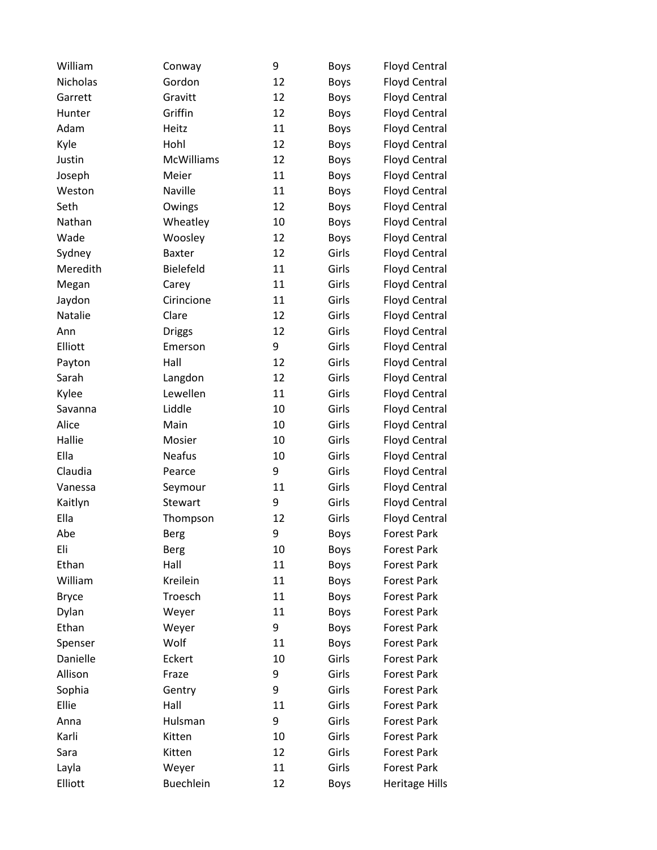| William      | Conway        | 9  | Boys        | <b>Floyd Central</b>  |
|--------------|---------------|----|-------------|-----------------------|
| Nicholas     | Gordon        | 12 | Boys        | <b>Floyd Central</b>  |
| Garrett      | Gravitt       | 12 | Boys        | <b>Floyd Central</b>  |
| Hunter       | Griffin       | 12 | Boys        | <b>Floyd Central</b>  |
| Adam         | Heitz         | 11 | Boys        | <b>Floyd Central</b>  |
| Kyle         | Hohl          | 12 | Boys        | <b>Floyd Central</b>  |
| Justin       | McWilliams    | 12 | Boys        | <b>Floyd Central</b>  |
| Joseph       | Meier         | 11 | Boys        | Floyd Central         |
| Weston       | Naville       | 11 | Boys        | <b>Floyd Central</b>  |
| Seth         | Owings        | 12 | Boys        | <b>Floyd Central</b>  |
| Nathan       | Wheatley      | 10 | Boys        | <b>Floyd Central</b>  |
| Wade         | Woosley       | 12 | Boys        | <b>Floyd Central</b>  |
| Sydney       | <b>Baxter</b> | 12 | Girls       | <b>Floyd Central</b>  |
| Meredith     | Bielefeld     | 11 | Girls       | <b>Floyd Central</b>  |
| Megan        | Carey         | 11 | Girls       | <b>Floyd Central</b>  |
| Jaydon       | Cirincione    | 11 | Girls       | <b>Floyd Central</b>  |
| Natalie      | Clare         | 12 | Girls       | <b>Floyd Central</b>  |
| Ann          | <b>Driggs</b> | 12 | Girls       | <b>Floyd Central</b>  |
| Elliott      | Emerson       | 9  | Girls       | <b>Floyd Central</b>  |
| Payton       | Hall          | 12 | Girls       | <b>Floyd Central</b>  |
| Sarah        | Langdon       | 12 | Girls       | <b>Floyd Central</b>  |
| Kylee        | Lewellen      | 11 | Girls       | <b>Floyd Central</b>  |
| Savanna      | Liddle        | 10 | Girls       | <b>Floyd Central</b>  |
| Alice        | Main          | 10 | Girls       | <b>Floyd Central</b>  |
| Hallie       | Mosier        | 10 | Girls       | <b>Floyd Central</b>  |
| Ella         | <b>Neafus</b> | 10 | Girls       | <b>Floyd Central</b>  |
| Claudia      | Pearce        | 9  | Girls       | <b>Floyd Central</b>  |
| Vanessa      | Seymour       | 11 | Girls       | <b>Floyd Central</b>  |
| Kaitlyn      | Stewart       | 9  | Girls       | <b>Floyd Central</b>  |
| Ella         | Thompson      | 12 | Girls       | <b>Floyd Central</b>  |
| Abe          | <b>Berg</b>   | 9  | <b>Boys</b> | <b>Forest Park</b>    |
| Eli          | <b>Berg</b>   | 10 | Boys        | <b>Forest Park</b>    |
| Ethan        | Hall          | 11 | Boys        | <b>Forest Park</b>    |
| William      | Kreilein      | 11 | Boys        | <b>Forest Park</b>    |
| <b>Bryce</b> | Troesch       | 11 | Boys        | <b>Forest Park</b>    |
| Dylan        | Weyer         | 11 | Boys        | <b>Forest Park</b>    |
| Ethan        | Weyer         | 9  | Boys        | <b>Forest Park</b>    |
| Spenser      | Wolf          | 11 | Boys        | <b>Forest Park</b>    |
| Danielle     | Eckert        | 10 | Girls       | <b>Forest Park</b>    |
| Allison      | Fraze         | 9  | Girls       | <b>Forest Park</b>    |
| Sophia       | Gentry        | 9  | Girls       | <b>Forest Park</b>    |
| Ellie        | Hall          | 11 | Girls       | <b>Forest Park</b>    |
| Anna         | Hulsman       | 9  | Girls       | <b>Forest Park</b>    |
| Karli        | Kitten        | 10 | Girls       | <b>Forest Park</b>    |
| Sara         | Kitten        | 12 | Girls       | <b>Forest Park</b>    |
| Layla        | Weyer         | 11 | Girls       | <b>Forest Park</b>    |
| Elliott      | Buechlein     | 12 | Boys        | <b>Heritage Hills</b> |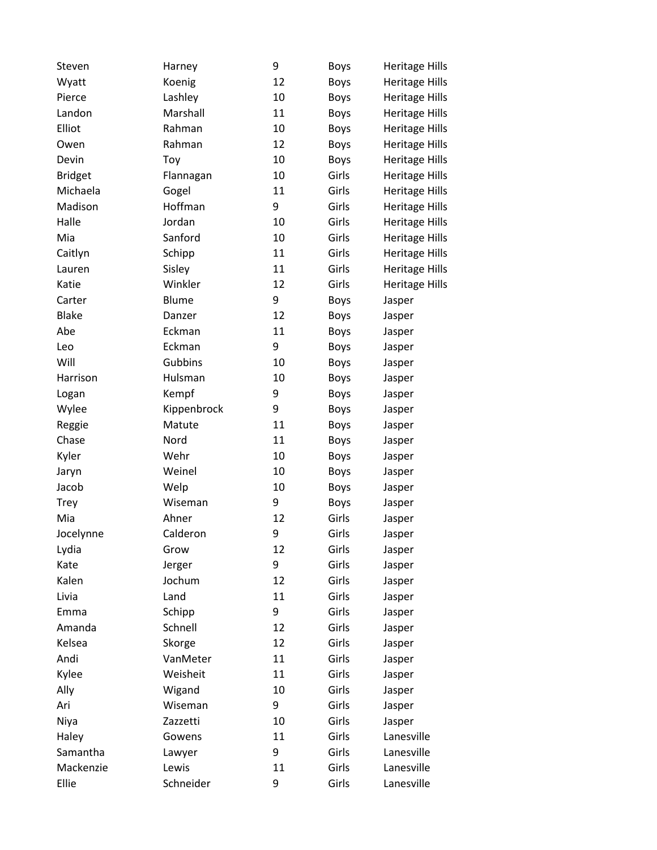| Steven         | Harney       | 9  | Boys        | <b>Heritage Hills</b> |
|----------------|--------------|----|-------------|-----------------------|
| Wyatt          | Koenig       | 12 | Boys        | <b>Heritage Hills</b> |
| Pierce         | Lashley      | 10 | Boys        | <b>Heritage Hills</b> |
| Landon         | Marshall     | 11 | Boys        | <b>Heritage Hills</b> |
| Elliot         | Rahman       | 10 | <b>Boys</b> | <b>Heritage Hills</b> |
| Owen           | Rahman       | 12 | Boys        | <b>Heritage Hills</b> |
| Devin          | Toy          | 10 | Boys        | <b>Heritage Hills</b> |
| <b>Bridget</b> | Flannagan    | 10 | Girls       | <b>Heritage Hills</b> |
| Michaela       | Gogel        | 11 | Girls       | <b>Heritage Hills</b> |
| Madison        | Hoffman      | 9  | Girls       | <b>Heritage Hills</b> |
| Halle          | Jordan       | 10 | Girls       | <b>Heritage Hills</b> |
| Mia            | Sanford      | 10 | Girls       | <b>Heritage Hills</b> |
| Caitlyn        | Schipp       | 11 | Girls       | <b>Heritage Hills</b> |
| Lauren         | Sisley       | 11 | Girls       | <b>Heritage Hills</b> |
| Katie          | Winkler      | 12 | Girls       | <b>Heritage Hills</b> |
| Carter         | <b>Blume</b> | 9  | Boys        | Jasper                |
| <b>Blake</b>   | Danzer       | 12 | Boys        | Jasper                |
| Abe            | Eckman       | 11 | <b>Boys</b> | Jasper                |
| Leo            | Eckman       | 9  | Boys        | Jasper                |
| Will           | Gubbins      | 10 | <b>Boys</b> | Jasper                |
| Harrison       | Hulsman      | 10 | Boys        | Jasper                |
| Logan          | Kempf        | 9  | <b>Boys</b> | Jasper                |
| Wylee          | Kippenbrock  | 9  | Boys        | Jasper                |
| Reggie         | Matute       | 11 | <b>Boys</b> | Jasper                |
| Chase          | Nord         | 11 | Boys        | Jasper                |
| Kyler          | Wehr         | 10 | <b>Boys</b> | Jasper                |
| Jaryn          | Weinel       | 10 | <b>Boys</b> | Jasper                |
| Jacob          | Welp         | 10 | Boys        | Jasper                |
| <b>Trey</b>    | Wiseman      | 9  | <b>Boys</b> | Jasper                |
| Mia            | Ahner        | 12 | Girls       | Jasper                |
| Jocelynne      | Calderon     | 9  | Girls       | Jasper                |
| Lydia          | Grow         | 12 | Girls       | Jasper                |
| Kate           | Jerger       | 9  | Girls       | Jasper                |
| Kalen          | Jochum       | 12 | Girls       | Jasper                |
| Livia          | Land         | 11 | Girls       | Jasper                |
| Emma           | Schipp       | 9  | Girls       | Jasper                |
| Amanda         | Schnell      | 12 | Girls       | Jasper                |
| Kelsea         | Skorge       | 12 | Girls       | Jasper                |
| Andi           | VanMeter     | 11 | Girls       | Jasper                |
| Kylee          | Weisheit     | 11 | Girls       | Jasper                |
| Ally           | Wigand       | 10 | Girls       | Jasper                |
| Ari            | Wiseman      | 9  | Girls       | Jasper                |
| Niya           | Zazzetti     | 10 | Girls       | Jasper                |
| Haley          | Gowens       | 11 | Girls       | Lanesville            |
| Samantha       | Lawyer       | 9  | Girls       | Lanesville            |
| Mackenzie      | Lewis        | 11 | Girls       | Lanesville            |
| Ellie          | Schneider    | 9  | Girls       | Lanesville            |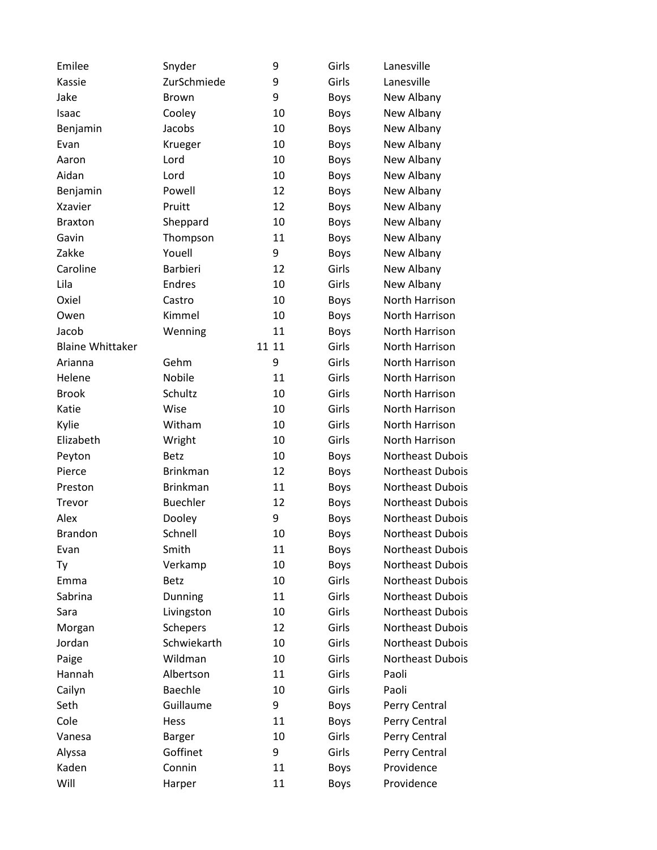| Emilee                  | Snyder          | 9     | Girls       | Lanesville       |
|-------------------------|-----------------|-------|-------------|------------------|
| Kassie                  | ZurSchmiede     | 9     | Girls       | Lanesville       |
| Jake                    | <b>Brown</b>    | 9     | Boys        | New Albany       |
| Isaac                   | Cooley          | 10    | Boys        | New Albany       |
| Benjamin                | Jacobs          | 10    | Boys        | New Albany       |
| Evan                    | Krueger         | 10    | Boys        | New Albany       |
| Aaron                   | Lord            | 10    | <b>Boys</b> | New Albany       |
| Aidan                   | Lord            | 10    | Boys        | New Albany       |
| Benjamin                | Powell          | 12    | Boys        | New Albany       |
| <b>Xzavier</b>          | Pruitt          | 12    | <b>Boys</b> | New Albany       |
| <b>Braxton</b>          | Sheppard        | 10    | <b>Boys</b> | New Albany       |
| Gavin                   | Thompson        | 11    | Boys        | New Albany       |
| Zakke                   | Youell          | 9     | Boys        | New Albany       |
| Caroline                | <b>Barbieri</b> | 12    | Girls       | New Albany       |
| Lila                    | <b>Endres</b>   | 10    | Girls       | New Albany       |
| Oxiel                   | Castro          | 10    | Boys        | North Harrison   |
| Owen                    | Kimmel          | 10    | Boys        | North Harrison   |
| Jacob                   | Wenning         | 11    | Boys        | North Harrison   |
| <b>Blaine Whittaker</b> |                 | 11 11 | Girls       | North Harrison   |
| Arianna                 | Gehm            | 9     | Girls       | North Harrison   |
| Helene                  | Nobile          | 11    | Girls       | North Harrison   |
| <b>Brook</b>            | Schultz         | 10    | Girls       | North Harrison   |
| Katie                   | Wise            | 10    | Girls       | North Harrison   |
| Kylie                   | Witham          | 10    | Girls       | North Harrison   |
| Elizabeth               | Wright          | 10    | Girls       | North Harrison   |
| Peyton                  | <b>Betz</b>     | 10    | Boys        | Northeast Dubois |
| Pierce                  | <b>Brinkman</b> | 12    | Boys        | Northeast Dubois |
| Preston                 | <b>Brinkman</b> | 11    | Boys        | Northeast Dubois |
| Trevor                  | <b>Buechler</b> | 12    | Boys        | Northeast Dubois |
| Alex                    | Dooley          | 9     | Boys        | Northeast Dubois |
| <b>Brandon</b>          | Schnell         | 10    | <b>Boys</b> | Northeast Dubois |
| Evan                    | Smith           | 11    | <b>Boys</b> | Northeast Dubois |
| Ty                      | Verkamp         | 10    | Boys        | Northeast Dubois |
| Emma                    | <b>Betz</b>     | 10    | Girls       | Northeast Dubois |
| Sabrina                 | Dunning         | 11    | Girls       | Northeast Dubois |
| Sara                    | Livingston      | 10    | Girls       | Northeast Dubois |
| Morgan                  | <b>Schepers</b> | 12    | Girls       | Northeast Dubois |
| Jordan                  | Schwiekarth     | 10    | Girls       | Northeast Dubois |
| Paige                   | Wildman         | 10    | Girls       | Northeast Dubois |
| Hannah                  | Albertson       | 11    | Girls       | Paoli            |
| Cailyn                  | Baechle         | 10    | Girls       | Paoli            |
| Seth                    | Guillaume       | 9     | Boys        | Perry Central    |
| Cole                    | Hess            | 11    | Boys        | Perry Central    |
| Vanesa                  | <b>Barger</b>   | 10    | Girls       | Perry Central    |
| Alyssa                  | Goffinet        | 9     | Girls       | Perry Central    |
| Kaden                   | Connin          | 11    | Boys        | Providence       |
| Will                    | Harper          | 11    | Boys        | Providence       |